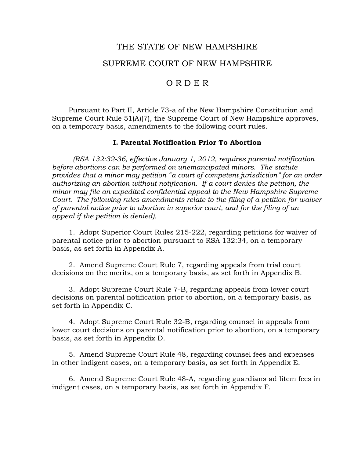# THE STATE OF NEW HAMPSHIRE SUPREME COURT OF NEW HAMPSHIRE

# O R D E R

 Pursuant to Part II, Article 73-a of the New Hampshire Constitution and Supreme Court Rule 51(A)(7), the Supreme Court of New Hampshire approves, on a temporary basis, amendments to the following court rules.

#### **I. Parental Notification Prior To Abortion**

*(RSA 132:32-36, effective January 1, 2012, requires parental notification before abortions can be performed on unemancipated minors. The statute provides that a minor may petition "a court of competent jurisdiction" for an order authorizing an abortion without notification. If a court denies the petition, the minor may file an expedited confidential appeal to the New Hampshire Supreme Court. The following rules amendments relate to the filing of a petition for waiver of parental notice prior to abortion in superior court, and for the filing of an appeal if the petition is denied).* 

1*.* Adopt Superior Court Rules 215-222, regarding petitions for waiver of parental notice prior to abortion pursuant to RSA 132:34, on a temporary basis, as set forth in Appendix A.

2. Amend Supreme Court Rule 7, regarding appeals from trial court decisions on the merits, on a temporary basis, as set forth in Appendix B.

 3. Adopt Supreme Court Rule 7-B, regarding appeals from lower court decisions on parental notification prior to abortion, on a temporary basis, as set forth in Appendix C.

 4. Adopt Supreme Court Rule 32-B, regarding counsel in appeals from lower court decisions on parental notification prior to abortion, on a temporary basis, as set forth in Appendix D.

 5. Amend Supreme Court Rule 48, regarding counsel fees and expenses in other indigent cases, on a temporary basis, as set forth in Appendix E.

 6. Amend Supreme Court Rule 48-A, regarding guardians ad litem fees in indigent cases, on a temporary basis, as set forth in Appendix F.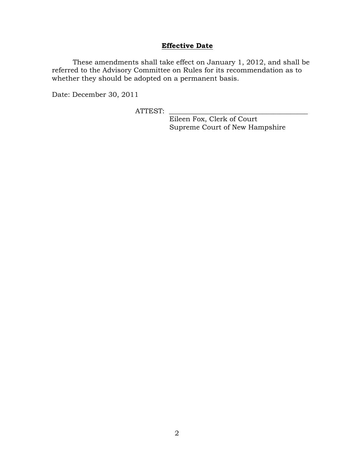# **Effective Date**

These amendments shall take effect on January 1, 2012, and shall be referred to the Advisory Committee on Rules for its recommendation as to whether they should be adopted on a permanent basis.

Date: December 30, 2011

ATTEST: \_\_\_\_\_\_\_\_\_\_\_\_\_\_\_\_\_\_\_\_\_\_\_\_\_\_\_\_\_\_\_\_\_\_\_\_\_\_\_\_

 Eileen Fox, Clerk of Court Supreme Court of New Hampshire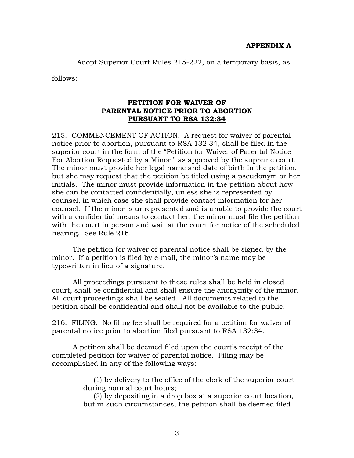Adopt Superior Court Rules 215-222, on a temporary basis, as

follows:

### **PETITION FOR WAIVER OF PARENTAL NOTICE PRIOR TO ABORTION PURSUANT TO RSA 132:34**

215. COMMENCEMENT OF ACTION. A request for waiver of parental notice prior to abortion, pursuant to RSA 132:34, shall be filed in the superior court in the form of the "Petition for Waiver of Parental Notice For Abortion Requested by a Minor," as approved by the supreme court. The minor must provide her legal name and date of birth in the petition, but she may request that the petition be titled using a pseudonym or her initials. The minor must provide information in the petition about how she can be contacted confidentially, unless she is represented by counsel, in which case she shall provide contact information for her counsel. If the minor is unrepresented and is unable to provide the court with a confidential means to contact her, the minor must file the petition with the court in person and wait at the court for notice of the scheduled hearing. See Rule 216.

The petition for waiver of parental notice shall be signed by the minor. If a petition is filed by e-mail, the minor's name may be typewritten in lieu of a signature.

All proceedings pursuant to these rules shall be held in closed court, shall be confidential and shall ensure the anonymity of the minor. All court proceedings shall be sealed. All documents related to the petition shall be confidential and shall not be available to the public.

216. FILING. No filing fee shall be required for a petition for waiver of parental notice prior to abortion filed pursuant to RSA 132:34.

A petition shall be deemed filed upon the court's receipt of the completed petition for waiver of parental notice. Filing may be accomplished in any of the following ways:

> (1) by delivery to the office of the clerk of the superior court during normal court hours;

> (2) by depositing in a drop box at a superior court location, but in such circumstances, the petition shall be deemed filed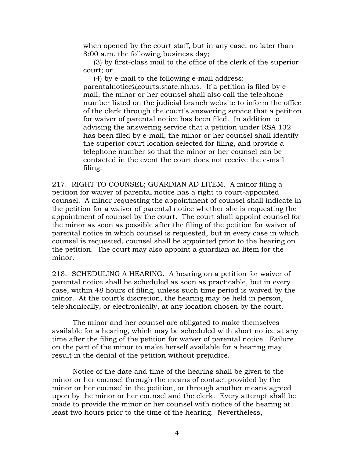when opened by the court staff, but in any case, no later than 8:00 a.m. the following business day;

(3) by first-class mail to the office of the clerk of the superior court; or

(4) by e-mail to the following e-mail address: parentalnotice@courts.state.nh.us. If a petition is filed by email, the minor or her counsel shall also call the telephone number listed on the judicial branch website to inform the office of the clerk through the court's answering service that a petition for waiver of parental notice has been filed. In addition to advising the answering service that a petition under RSA 132 has been filed by e-mail, the minor or her counsel shall identify the superior court location selected for filing, and provide a telephone number so that the minor or her counsel can be contacted in the event the court does not receive the e-mail filing.

217. RIGHT TO COUNSEL; GUARDIAN AD LITEM. A minor filing a petition for waiver of parental notice has a right to court-appointed counsel. A minor requesting the appointment of counsel shall indicate in the petition for a waiver of parental notice whether she is requesting the appointment of counsel by the court. The court shall appoint counsel for the minor as soon as possible after the filing of the petition for waiver of parental notice in which counsel is requested, but in every case in which counsel is requested, counsel shall be appointed prior to the hearing on the petition. The court may also appoint a guardian ad litem for the minor.

218. SCHEDULING A HEARING. A hearing on a petition for waiver of parental notice shall be scheduled as soon as practicable, but in every case, within 48 hours of filing, unless such time period is waived by the minor. At the court's discretion, the hearing may be held in person, telephonically, or electronically, at any location chosen by the court.

 The minor and her counsel are obligated to make themselves available for a hearing, which may be scheduled with short notice at any time after the filing of the petition for waiver of parental notice. Failure on the part of the minor to make herself available for a hearing may result in the denial of the petition without prejudice.

Notice of the date and time of the hearing shall be given to the minor or her counsel through the means of contact provided by the minor or her counsel in the petition, or through another means agreed upon by the minor or her counsel and the clerk. Every attempt shall be made to provide the minor or her counsel with notice of the hearing at least two hours prior to the time of the hearing. Nevertheless,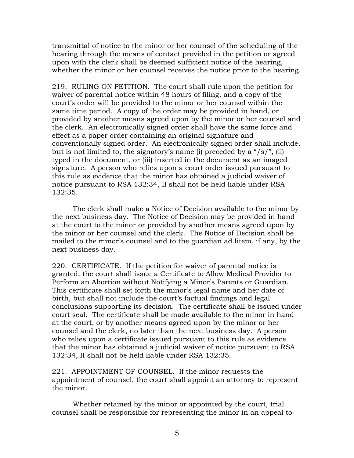transmittal of notice to the minor or her counsel of the scheduling of the hearing through the means of contact provided in the petition or agreed upon with the clerk shall be deemed sufficient notice of the hearing, whether the minor or her counsel receives the notice prior to the hearing.

219. RULING ON PETITION. The court shall rule upon the petition for waiver of parental notice within 48 hours of filing, and a copy of the court's order will be provided to the minor or her counsel within the same time period. A copy of the order may be provided in hand, or provided by another means agreed upon by the minor or her counsel and the clerk. An electronically signed order shall have the same force and effect as a paper order containing an original signature and conventionally signed order. An electronically signed order shall include, but is not limited to, the signatory's name (i) preceded by a "/s/", (ii) typed in the document, or (iii) inserted in the document as an imaged signature. A person who relies upon a court order issued pursuant to this rule as evidence that the minor has obtained a judicial waiver of notice pursuant to RSA 132:34, II shall not be held liable under RSA 132:35.

 The clerk shall make a Notice of Decision available to the minor by the next business day. The Notice of Decision may be provided in hand at the court to the minor or provided by another means agreed upon by the minor or her counsel and the clerk. The Notice of Decision shall be mailed to the minor's counsel and to the guardian ad litem, if any, by the next business day.

220. CERTIFICATE. If the petition for waiver of parental notice is granted, the court shall issue a Certificate to Allow Medical Provider to Perform an Abortion without Notifying a Minor's Parents or Guardian. This certificate shall set forth the minor's legal name and her date of birth, but shall not include the court's factual findings and legal conclusions supporting its decision. The certificate shall be issued under court seal. The certificate shall be made available to the minor in hand at the court, or by another means agreed upon by the minor or her counsel and the clerk, no later than the next business day. A person who relies upon a certificate issued pursuant to this rule as evidence that the minor has obtained a judicial waiver of notice pursuant to RSA 132:34, II shall not be held liable under RSA 132:35.

221. APPOINTMENT OF COUNSEL. If the minor requests the appointment of counsel, the court shall appoint an attorney to represent the minor.

Whether retained by the minor or appointed by the court, trial counsel shall be responsible for representing the minor in an appeal to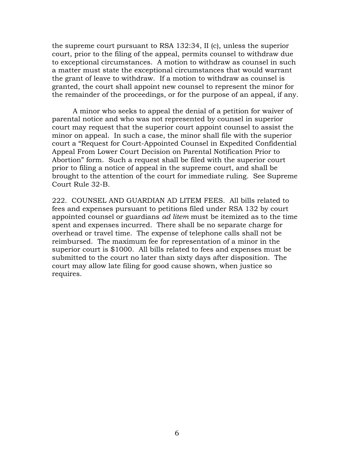the supreme court pursuant to RSA 132:34, II (c), unless the superior court, prior to the filing of the appeal, permits counsel to withdraw due to exceptional circumstances. A motion to withdraw as counsel in such a matter must state the exceptional circumstances that would warrant the grant of leave to withdraw. If a motion to withdraw as counsel is granted, the court shall appoint new counsel to represent the minor for the remainder of the proceedings, or for the purpose of an appeal, if any.

A minor who seeks to appeal the denial of a petition for waiver of parental notice and who was not represented by counsel in superior court may request that the superior court appoint counsel to assist the minor on appeal. In such a case, the minor shall file with the superior court a "Request for Court-Appointed Counsel in Expedited Confidential Appeal From Lower Court Decision on Parental Notification Prior to Abortion" form. Such a request shall be filed with the superior court prior to filing a notice of appeal in the supreme court, and shall be brought to the attention of the court for immediate ruling. See Supreme Court Rule 32-B.

222. COUNSEL AND GUARDIAN AD LITEM FEES. All bills related to fees and expenses pursuant to petitions filed under RSA 132 by court appointed counsel or guardians *ad litem* must be itemized as to the time spent and expenses incurred. There shall be no separate charge for overhead or travel time. The expense of telephone calls shall not be reimbursed. The maximum fee for representation of a minor in the superior court is \$1000. All bills related to fees and expenses must be submitted to the court no later than sixty days after disposition. The court may allow late filing for good cause shown, when justice so requires.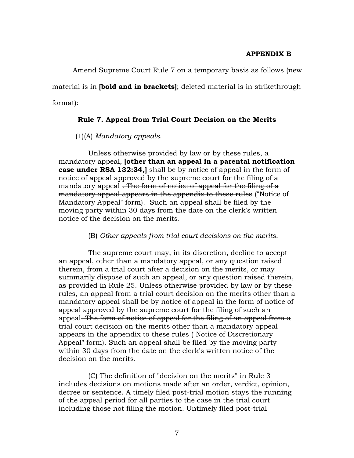#### **APPENDIX B**

 Amend Supreme Court Rule 7 on a temporary basis as follows (new material is in **[bold and in brackets]**; deleted material is in strikethrough format):

### **Rule 7. Appeal from Trial Court Decision on the Merits**

(1)(A) *Mandatory appeals*.

 Unless otherwise provided by law or by these rules, a mandatory appeal, **[other than an appeal in a parental notification case under RSA 132:34,]** shall be by notice of appeal in the form of notice of appeal approved by the supreme court for the filing of a mandatory appeal . The form of notice of appeal for the filing of a mandatory appeal appears in the appendix to these rules ("Notice of Mandatory Appeal" form). Such an appeal shall be filed by the moving party within 30 days from the date on the clerk's written notice of the decision on the merits.

(B) *Other appeals from trial court decisions on the merits*.

 The supreme court may, in its discretion, decline to accept an appeal, other than a mandatory appeal, or any question raised therein, from a trial court after a decision on the merits, or may summarily dispose of such an appeal, or any question raised therein, as provided in Rule 25. Unless otherwise provided by law or by these rules, an appeal from a trial court decision on the merits other than a mandatory appeal shall be by notice of appeal in the form of notice of appeal approved by the supreme court for the filing of such an appeal. The form of notice of appeal for the filing of an appeal from a trial court decision on the merits other than a mandatory appeal appears in the appendix to these rules ("Notice of Discretionary Appeal" form). Such an appeal shall be filed by the moving party within 30 days from the date on the clerk's written notice of the decision on the merits.

 (C) The definition of "decision on the merits" in Rule 3 includes decisions on motions made after an order, verdict, opinion, decree or sentence. A timely filed post-trial motion stays the running of the appeal period for all parties to the case in the trial court including those not filing the motion. Untimely filed post-trial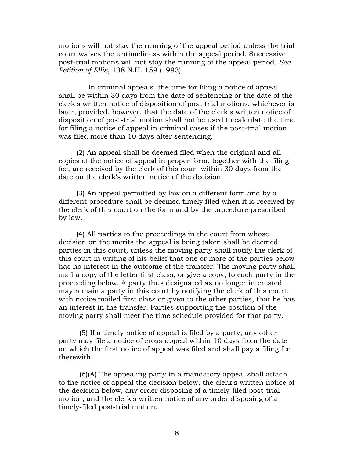motions will not stay the running of the appeal period unless the trial court waives the untimeliness within the appeal period. Successive post-trial motions will not stay the running of the appeal period. *See Petition of Ellis*, 138 N.H. 159 (1993).

 In criminal appeals, the time for filing a notice of appeal shall be within 30 days from the date of sentencing or the date of the clerk's written notice of disposition of post-trial motions, whichever is later, provided, however, that the date of the clerk's written notice of disposition of post-trial motion shall not be used to calculate the time for filing a notice of appeal in criminal cases if the post-trial motion was filed more than 10 days after sentencing.

 (2) An appeal shall be deemed filed when the original and all copies of the notice of appeal in proper form, together with the filing fee, are received by the clerk of this court within 30 days from the date on the clerk's written notice of the decision.

 (3) An appeal permitted by law on a different form and by a different procedure shall be deemed timely filed when it is received by the clerk of this court on the form and by the procedure prescribed by law.

 (4) All parties to the proceedings in the court from whose decision on the merits the appeal is being taken shall be deemed parties in this court, unless the moving party shall notify the clerk of this court in writing of his belief that one or more of the parties below has no interest in the outcome of the transfer. The moving party shall mail a copy of the letter first class, or give a copy, to each party in the proceeding below. A party thus designated as no longer interested may remain a party in this court by notifying the clerk of this court, with notice mailed first class or given to the other parties, that he has an interest in the transfer. Parties supporting the position of the moving party shall meet the time schedule provided for that party.

(5) If a timely notice of appeal is filed by a party, any other party may file a notice of cross-appeal within 10 days from the date on which the first notice of appeal was filed and shall pay a filing fee therewith.

(6)(A) The appealing party in a mandatory appeal shall attach to the notice of appeal the decision below, the clerk's written notice of the decision below, any order disposing of a timely-filed post-trial motion, and the clerk's written notice of any order disposing of a timely-filed post-trial motion.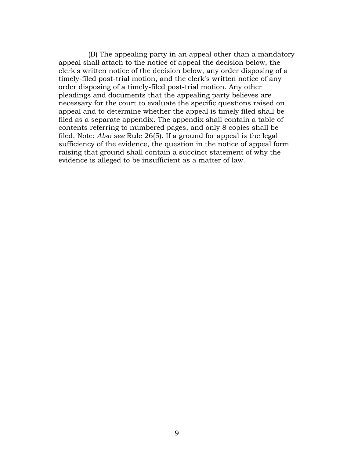(B) The appealing party in an appeal other than a mandatory appeal shall attach to the notice of appeal the decision below, the clerk's written notice of the decision below, any order disposing of a timely-filed post-trial motion, and the clerk's written notice of any order disposing of a timely-filed post-trial motion. Any other pleadings and documents that the appealing party believes are necessary for the court to evaluate the specific questions raised on appeal and to determine whether the appeal is timely filed shall be filed as a separate appendix. The appendix shall contain a table of contents referring to numbered pages, and only 8 copies shall be filed. Note: *Also see* Rule 26(5). If a ground for appeal is the legal sufficiency of the evidence, the question in the notice of appeal form raising that ground shall contain a succinct statement of why the evidence is alleged to be insufficient as a matter of law.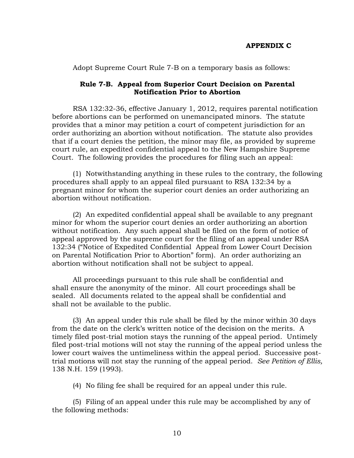Adopt Supreme Court Rule 7-B on a temporary basis as follows:

# **Rule 7-B. Appeal from Superior Court Decision on Parental Notification Prior to Abortion**

RSA 132:32-36, effective January 1, 2012, requires parental notification before abortions can be performed on unemancipated minors. The statute provides that a minor may petition a court of competent jurisdiction for an order authorizing an abortion without notification. The statute also provides that if a court denies the petition, the minor may file, as provided by supreme court rule, an expedited confidential appeal to the New Hampshire Supreme Court. The following provides the procedures for filing such an appeal:

 (1) Notwithstanding anything in these rules to the contrary, the following procedures shall apply to an appeal filed pursuant to RSA 132:34 by a pregnant minor for whom the superior court denies an order authorizing an abortion without notification.

 (2) An expedited confidential appeal shall be available to any pregnant minor for whom the superior court denies an order authorizing an abortion without notification. Any such appeal shall be filed on the form of notice of appeal approved by the supreme court for the filing of an appeal under RSA 132:34 ("Notice of Expedited Confidential Appeal from Lower Court Decision on Parental Notification Prior to Abortion" form). An order authorizing an abortion without notification shall not be subject to appeal.

All proceedings pursuant to this rule shall be confidential and shall ensure the anonymity of the minor. All court proceedings shall be sealed. All documents related to the appeal shall be confidential and shall not be available to the public.

 (3) An appeal under this rule shall be filed by the minor within 30 days from the date on the clerk's written notice of the decision on the merits. A timely filed post-trial motion stays the running of the appeal period. Untimely filed post-trial motions will not stay the running of the appeal period unless the lower court waives the untimeliness within the appeal period. Successive posttrial motions will not stay the running of the appeal period. *See Petition of Ellis,* 138 N.H. 159 (1993).

(4) No filing fee shall be required for an appeal under this rule.

 (5) Filing of an appeal under this rule may be accomplished by any of the following methods: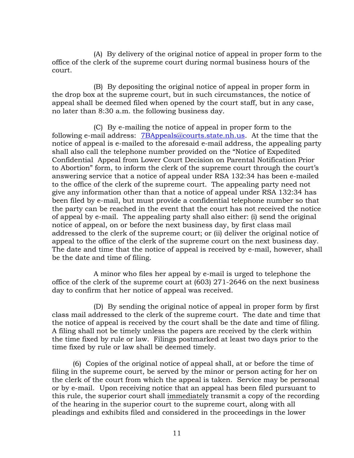(A) By delivery of the original notice of appeal in proper form to the office of the clerk of the supreme court during normal business hours of the court.

 (B) By depositing the original notice of appeal in proper form in the drop box at the supreme court, but in such circumstances, the notice of appeal shall be deemed filed when opened by the court staff, but in any case, no later than 8:30 a.m. the following business day.

 (C) By e-mailing the notice of appeal in proper form to the following e-mail address:[7BAppeals@courts.state.nh.us.](mailto:7BAppeals@courts.state.nh.us) At the time that the notice of appeal is e-mailed to the aforesaid e-mail address, the appealing party shall also call the telephone number provided on the "Notice of Expedited Confidential Appeal from Lower Court Decision on Parental Notification Prior to Abortion" form, to inform the clerk of the supreme court through the court's answering service that a notice of appeal under RSA 132:34 has been e-mailed to the office of the clerk of the supreme court. The appealing party need not give any information other than that a notice of appeal under RSA 132:34 has been filed by e-mail, but must provide a confidential telephone number so that the party can be reached in the event that the court has not received the notice of appeal by e-mail. The appealing party shall also either: (i) send the original notice of appeal, on or before the next business day, by first class mail addressed to the clerk of the supreme court; or (ii) deliver the original notice of appeal to the office of the clerk of the supreme court on the next business day. The date and time that the notice of appeal is received by e-mail, however, shall be the date and time of filing.

 A minor who files her appeal by e-mail is urged to telephone the office of the clerk of the supreme court at (603) 271-2646 on the next business day to confirm that her notice of appeal was received.

 (D) By sending the original notice of appeal in proper form by first class mail addressed to the clerk of the supreme court. The date and time that the notice of appeal is received by the court shall be the date and time of filing. A filing shall not be timely unless the papers are received by the clerk within the time fixed by rule or law. Filings postmarked at least two days prior to the time fixed by rule or law shall be deemed timely.

 (6) Copies of the original notice of appeal shall, at or before the time of filing in the supreme court, be served by the minor or person acting for her on the clerk of the court from which the appeal is taken. Service may be personal or by e-mail.Upon receiving notice that an appeal has been filed pursuant to this rule, the superior court shall immediately transmit a copy of the recording of the hearing in the superior court to the supreme court, along with all pleadings and exhibits filed and considered in the proceedings in the lower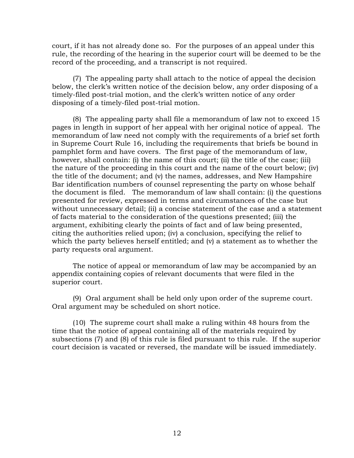court, if it has not already done so. For the purposes of an appeal under this rule, the recording of the hearing in the superior court will be deemed to be the record of the proceeding, and a transcript is not required.

 (7) The appealing party shall attach to the notice of appeal the decision below, the clerk's written notice of the decision below, any order disposing of a timely-filed post-trial motion, and the clerk's written notice of any order disposing of a timely-filed post-trial motion.

 (8) The appealing party shall file a memorandum of law not to exceed 15 pages in length in support of her appeal with her original notice of appeal. The memorandum of law need not comply with the requirements of a brief set forth in Supreme Court Rule 16, including the requirements that briefs be bound in pamphlet form and have covers. The first page of the memorandum of law, however, shall contain: (i) the name of this court; (ii) the title of the case; (iii) the nature of the proceeding in this court and the name of the court below; (iv) the title of the document; and (v) the names, addresses, and New Hampshire Bar identification numbers of counsel representing the party on whose behalf the document is filed. The memorandum of law shall contain: (i) the questions presented for review, expressed in terms and circumstances of the case but without unnecessary detail; (ii) a concise statement of the case and a statement of facts material to the consideration of the questions presented; (iii) the argument, exhibiting clearly the points of fact and of law being presented, citing the authorities relied upon; (iv) a conclusion, specifying the relief to which the party believes herself entitled; and (v) a statement as to whether the party requests oral argument.

 The notice of appeal or memorandum of law may be accompanied by an appendix containing copies of relevant documents that were filed in the superior court.

 (9) Oral argument shall be held only upon order of the supreme court. Oral argument may be scheduled on short notice.

 (10) The supreme court shall make a ruling within 48 hours from the time that the notice of appeal containing all of the materials required by subsections (7) and (8) of this rule is filed pursuant to this rule. If the superior court decision is vacated or reversed, the mandate will be issued immediately.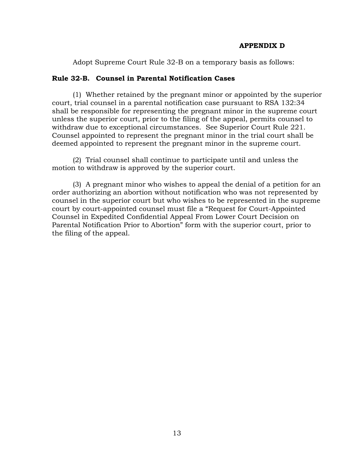### **APPENDIX D**

Adopt Supreme Court Rule 32-B on a temporary basis as follows:

#### **Rule 32-B. Counsel in Parental Notification Cases**

 (1) Whether retained by the pregnant minor or appointed by the superior court, trial counsel in a parental notification case pursuant to RSA 132:34 shall be responsible for representing the pregnant minor in the supreme court unless the superior court, prior to the filing of the appeal, permits counsel to withdraw due to exceptional circumstances. See Superior Court Rule 221. Counsel appointed to represent the pregnant minor in the trial court shall be deemed appointed to represent the pregnant minor in the supreme court.

 (2) Trial counsel shall continue to participate until and unless the motion to withdraw is approved by the superior court.

 (3) A pregnant minor who wishes to appeal the denial of a petition for an order authorizing an abortion without notification who was not represented by counsel in the superior court but who wishes to be represented in the supreme court by court-appointed counsel must file a "Request for Court-Appointed Counsel in Expedited Confidential Appeal From Lower Court Decision on Parental Notification Prior to Abortion" form with the superior court, prior to the filing of the appeal.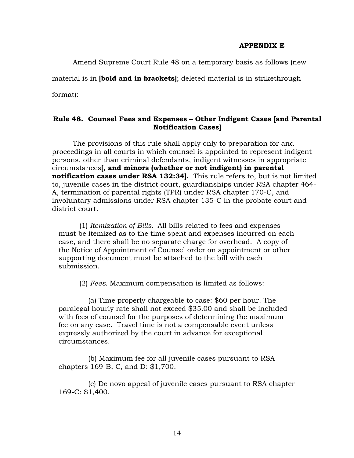#### **APPENDIX E**

Amend Supreme Court Rule 48 on a temporary basis as follows (new

material is in **[bold and in brackets]**; deleted material is in strikethrough

format):

## **Rule 48. Counsel Fees and Expenses – Other Indigent Cases [and Parental Notification Cases]**

The provisions of this rule shall apply only to preparation for and proceedings in all courts in which counsel is appointed to represent indigent persons, other than criminal defendants, indigent witnesses in appropriate circumstances**[, and minors (whether or not indigent) in parental notification cases under RSA 132:34].** This rule refers to, but is not limited to, juvenile cases in the district court, guardianships under RSA chapter 464- A, termination of parental rights (TPR) under RSA chapter 170-C, and involuntary admissions under RSA chapter 135-C in the probate court and district court.

(1) *Itemization of Bills.* All bills related to fees and expenses must be itemized as to the time spent and expenses incurred on each case, and there shall be no separate charge for overhead. A copy of the Notice of Appointment of Counsel order on appointment or other supporting document must be attached to the bill with each submission.

(2) *Fees.* Maximum compensation is limited as follows:

 (a) Time properly chargeable to case: \$60 per hour. The paralegal hourly rate shall not exceed \$35.00 and shall be included with fees of counsel for the purposes of determining the maximum fee on any case. Travel time is not a compensable event unless expressly authorized by the court in advance for exceptional circumstances.

 (b) Maximum fee for all juvenile cases pursuant to RSA chapters 169-B, C, and D: \$1,700.

 (c) De novo appeal of juvenile cases pursuant to RSA chapter 169-C: \$1,400.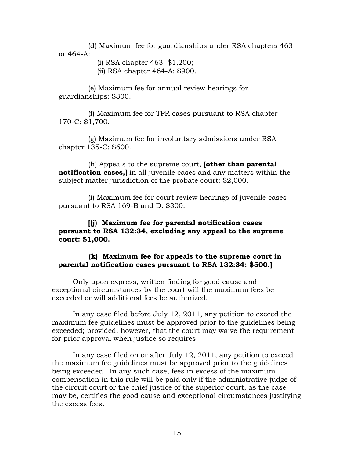(d) Maximum fee for guardianships under RSA chapters 463 or 464-A:

(i) RSA chapter 463: \$1,200;

(ii) RSA chapter 464-A: \$900.

 (e) Maximum fee for annual review hearings for guardianships: \$300.

 (f) Maximum fee for TPR cases pursuant to RSA chapter 170-C: \$1,700.

 (g) Maximum fee for involuntary admissions under RSA chapter 135-C: \$600.

 (h) Appeals to the supreme court, **[other than parental notification cases,]** in all juvenile cases and any matters within the subject matter jurisdiction of the probate court: \$2,000.

 (i) Maximum fee for court review hearings of juvenile cases pursuant to RSA 169-B and D: \$300.

## **[(j) Maximum fee for parental notification cases pursuant to RSA 132:34, excluding any appeal to the supreme court: \$1,000.**

## **(k) Maximum fee for appeals to the supreme court in parental notification cases pursuant to RSA 132:34: \$500.]**

 Only upon express, written finding for good cause and exceptional circumstances by the court will the maximum fees be exceeded or will additional fees be authorized.

 In any case filed before July 12, 2011, any petition to exceed the maximum fee guidelines must be approved prior to the guidelines being exceeded; provided, however, that the court may waive the requirement for prior approval when justice so requires.

 In any case filed on or after July 12, 2011, any petition to exceed the maximum fee guidelines must be approved prior to the guidelines being exceeded. In any such case, fees in excess of the maximum compensation in this rule will be paid only if the administrative judge of the circuit court or the chief justice of the superior court, as the case may be, certifies the good cause and exceptional circumstances justifying the excess fees.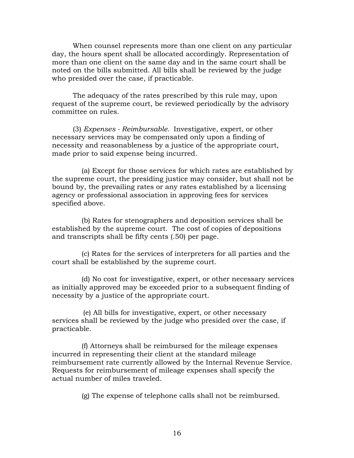When counsel represents more than one client on any particular day, the hours spent shall be allocated accordingly. Representation of more than one client on the same day and in the same court shall be noted on the bills submitted. All bills shall be reviewed by the judge who presided over the case, if practicable.

 The adequacy of the rates prescribed by this rule may, upon request of the supreme court, be reviewed periodically by the advisory committee on rules.

 (3) *Expenses - Reimbursable.* Investigative, expert, or other necessary services may be compensated only upon a finding of necessity and reasonableness by a justice of the appropriate court, made prior to said expense being incurred.

 (a) Except for those services for which rates are established by the supreme court, the presiding justice may consider, but shall not be bound by, the prevailing rates or any rates established by a licensing agency or professional association in approving fees for services specified above.

 (b) Rates for stenographers and deposition services shall be established by the supreme court. The cost of copies of depositions and transcripts shall be fifty cents (.50) per page.

 (c) Rates for the services of interpreters for all parties and the court shall be established by the supreme court.

 (d) No cost for investigative, expert, or other necessary services as initially approved may be exceeded prior to a subsequent finding of necessity by a justice of the appropriate court.

(e) All bills for investigative, expert, or other necessary services shall be reviewed by the judge who presided over the case, if practicable.

 (f) Attorneys shall be reimbursed for the mileage expenses incurred in representing their client at the standard mileage reimbursement rate currently allowed by the Internal Revenue Service. Requests for reimbursement of mileage expenses shall specify the actual number of miles traveled.

(g) The expense of telephone calls shall not be reimbursed.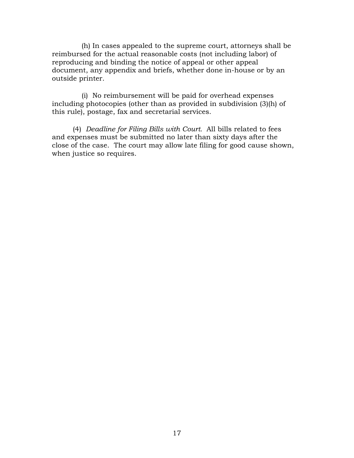(h) In cases appealed to the supreme court, attorneys shall be reimbursed for the actual reasonable costs (not including labor) of reproducing and binding the notice of appeal or other appeal document, any appendix and briefs, whether done in-house or by an outside printer.

 (i) No reimbursement will be paid for overhead expenses including photocopies (other than as provided in subdivision (3)(h) of this rule), postage, fax and secretarial services.

(4) *Deadline for Filing Bills with Court.* All bills related to fees and expenses must be submitted no later than sixty days after the close of the case. The court may allow late filing for good cause shown, when justice so requires.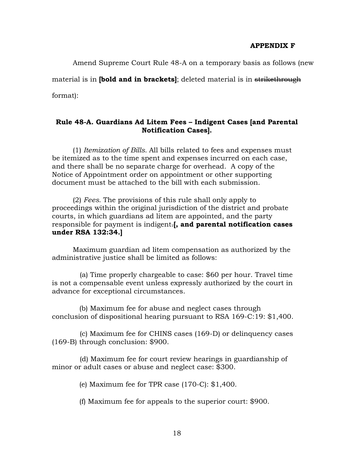#### **APPENDIX F**

Amend Supreme Court Rule 48-A on a temporary basis as follows (new

material is in **[bold and in brackets]**; deleted material is in strikethrough format):

# **Rule 48-A. Guardians Ad Litem Fees – Indigent Cases [and Parental Notification Cases].**

(1) *Itemization of Bills.* All bills related to fees and expenses must be itemized as to the time spent and expenses incurred on each case, and there shall be no separate charge for overhead. A copy of the Notice of Appointment order on appointment or other supporting document must be attached to the bill with each submission.

(2) *Fees.* The provisions of this rule shall only apply to proceedings within the original jurisdiction of the district and probate courts, in which guardians ad litem are appointed, and the party responsible for payment is indigent.**[, and parental notification cases under RSA 132:34.]** 

Maximum guardian ad litem compensation as authorized by the administrative justice shall be limited as follows:

(a) Time properly chargeable to case: \$60 per hour. Travel time is not a compensable event unless expressly authorized by the court in advance for exceptional circumstances.

(b) Maximum fee for abuse and neglect cases through conclusion of dispositional hearing pursuant to RSA 169-C:19: \$1,400.

(c) Maximum fee for CHINS cases (169-D) or delinquency cases (169-B) through conclusion: \$900.

(d) Maximum fee for court review hearings in guardianship of minor or adult cases or abuse and neglect case: \$300.

(e) Maximum fee for TPR case (170-C): \$1,400.

(f) Maximum fee for appeals to the superior court: \$900.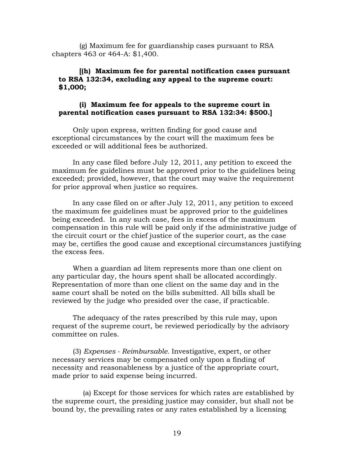(g) Maximum fee for guardianship cases pursuant to RSA chapters 463 or 464-A: \$1,400.

## **[(h) Maximum fee for parental notification cases pursuant to RSA 132:34, excluding any appeal to the supreme court: \$1,000;**

### **(i) Maximum fee for appeals to the supreme court in parental notification cases pursuant to RSA 132:34: \$500.]**

 Only upon express, written finding for good cause and exceptional circumstances by the court will the maximum fees be exceeded or will additional fees be authorized.

 In any case filed before July 12, 2011, any petition to exceed the maximum fee guidelines must be approved prior to the guidelines being exceeded; provided, however, that the court may waive the requirement for prior approval when justice so requires.

 In any case filed on or after July 12, 2011, any petition to exceed the maximum fee guidelines must be approved prior to the guidelines being exceeded. In any such case, fees in excess of the maximum compensation in this rule will be paid only if the administrative judge of the circuit court or the chief justice of the superior court, as the case may be, certifies the good cause and exceptional circumstances justifying the excess fees.

 When a guardian ad litem represents more than one client on any particular day, the hours spent shall be allocated accordingly. Representation of more than one client on the same day and in the same court shall be noted on the bills submitted. All bills shall be reviewed by the judge who presided over the case, if practicable.

 The adequacy of the rates prescribed by this rule may, upon request of the supreme court, be reviewed periodically by the advisory committee on rules.

 (3) *Expenses - Reimbursable.* Investigative, expert, or other necessary services may be compensated only upon a finding of necessity and reasonableness by a justice of the appropriate court, made prior to said expense being incurred.

 (a) Except for those services for which rates are established by the supreme court, the presiding justice may consider, but shall not be bound by, the prevailing rates or any rates established by a licensing